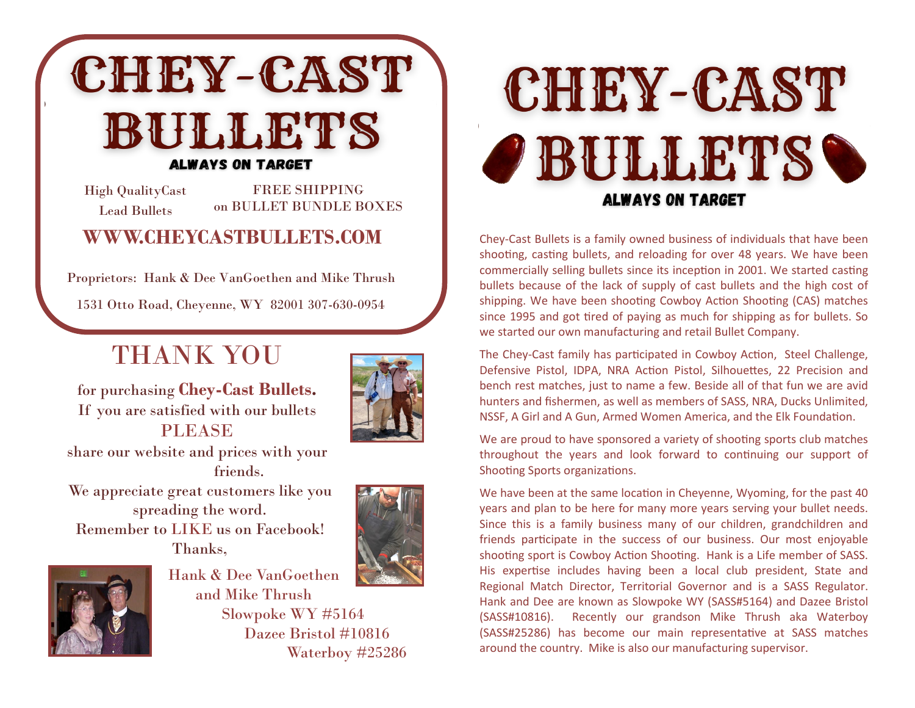

High QualityCast Lead Bullets FREE SHIPPING on BULLET BUNDLE BOXES

## **WWW.CHEYCASTBULLETS.COM**

Proprietors: Hank & Dee VanGoethen and Mike Thrush 1531 Otto Road, Cheyenne, WY 82001 307-630-0954

# THANK YOU

for purchasing **Chey-Cast Bullets.** If you are satisfied with our bullets **PLEASE** friends. We appreciate great customers like you



share our website and prices with your

spreading the word. Remember to LIKE us on Facebook! Thanks,





Hank & Dee VanGoethen and Mike Thrush Slowpoke WY #5164 Dazee Bristol #10816 Waterboy #25286



Chey-Cast Bullets is a family owned business of individuals that have been shooting, casting bullets, and reloading for over 48 years. We have been commercially selling bullets since its inception in 2001. We started casting bullets because of the lack of supply of cast bullets and the high cost of shipping. We have been shooting Cowboy Action Shooting (CAS) matches since 1995 and got tired of paying as much for shipping as for bullets. So we started our own manufacturing and retail Bullet Company.

The Chey-Cast family has participated in Cowboy Action, Steel Challenge, Defensive Pistol, IDPA, NRA Action Pistol, Silhouettes, 22 Precision and bench rest matches, just to name a few. Beside all of that fun we are avid hunters and fishermen, as well as members of SASS, NRA, Ducks Unlimited, NSSF, A Girl and A Gun, Armed Women America, and the Elk Foundation.

We are proud to have sponsored a variety of shooting sports club matches throughout the years and look forward to continuing our support of Shooting Sports organizations.

We have been at the same location in Cheyenne, Wyoming, for the past 40 years and plan to be here for many more years serving your bullet needs. Since this is a family business many of our children, grandchildren and friends participate in the success of our business. Our most enjoyable shooting sport is Cowboy Action Shooting. Hank is a Life member of SASS. His expertise includes having been a local club president, State and Regional Match Director, Territorial Governor and is a SASS Regulator. Hank and Dee are known as Slowpoke WY (SASS#5164) and Dazee Bristol (SASS#10816). Recently our grandson Mike Thrush aka Waterboy (SASS#25286) has become our main representative at SASS matches around the country. Mike is also our manufacturing supervisor.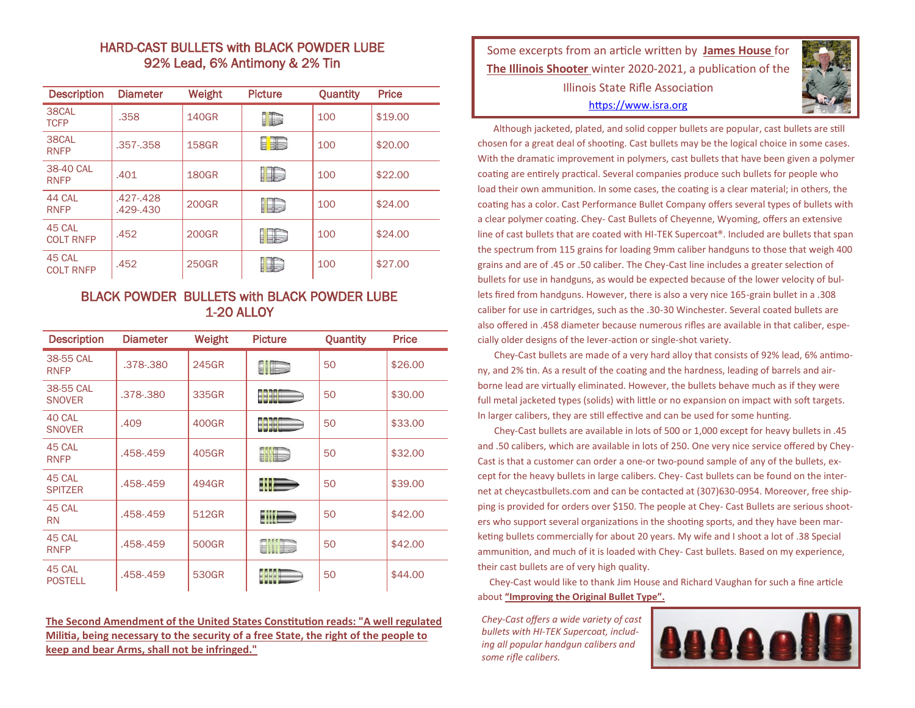### HARD-CAST BULLETS with BLACK POWDER LUBE 92% Lead, 6% Antimony & 2% Tin

| <b>Description</b>         | <b>Diameter</b>        | Weight       | <b>Picture</b> | Quantity | Price   |
|----------------------------|------------------------|--------------|----------------|----------|---------|
| 38CAL<br><b>TCFP</b>       | .358                   | 140GR        | i,             | 100      | \$19.00 |
| 38CAL<br><b>RNFP</b>       | .357-.358              | <b>158GR</b> | HE             | 100      | \$20.00 |
| 38-40 CAL<br><b>RNFP</b>   | .401                   | <b>180GR</b> | T              | 100      | \$22.00 |
| 44 CAL<br><b>RNFP</b>      | .427-.428<br>.429-.430 | 200GR        | TH,            | 100      | \$24.00 |
| 45 CAL<br><b>COLT RNFP</b> | .452                   | 200GR        | i Ela          | 100      | \$24.00 |
| 45 CAL<br><b>COLT RNFP</b> | .452                   | 250GR        | H.             | 100      | \$27.00 |

### BLACK POWDER BULLETS with BLACK POWDER LUBE 1-20 ALLOY

| <b>Description</b>         | <b>Diameter</b> | Weight | <b>Picture</b> | Quantity | <b>Price</b> |
|----------------------------|-----------------|--------|----------------|----------|--------------|
| 38-55 CAL<br><b>RNFP</b>   | .378-.380       | 245GR  | I              | 50       | \$26.00      |
| 38-55 CAL<br><b>SNOVER</b> | .378-.380       | 335GR  | :::::          | 50       | \$30.00      |
| 40 CAL<br><b>SNOVER</b>    | .409            | 400GR  | - 11           | 50       | \$33.00      |
| 45 CAL<br><b>RNFP</b>      | .458-.459       | 405GR  | IID            | 50       | \$32.00      |
| 45 CAL<br><b>SPITZER</b>   | .458-.459       | 494GR  | #I =           | 50       | \$39,00      |
| 45 CAL<br>RN               | .458-.459       | 512GR  | <b>SHITE</b>   | 50       | \$42.00      |
| 45 CAL<br><b>RNFP</b>      | .458-.459       | 500GR  | <b>ENLES</b>   | 50       | \$42.00      |
| 45 CAL<br><b>POSTELL</b>   | .458-.459       | 530GR  |                | 50       | \$44.00      |

**The Second Amendment of the United States Constitution reads: "A well regulated Militia, being necessary to the security of a free State, the right of the people to keep and bear Arms, shall not be infringed."** 

Some excerpts from an article written by **James House** for **The Illinois Shooter** winter 2020-2021, a publication of the Illinois State Rifle Association [https://www.isra.org](https://www.isra.org/)



 Although jacketed, plated, and solid copper bullets are popular, cast bullets are still chosen for a great deal of shooting. Cast bullets may be the logical choice in some cases. With the dramatic improvement in polymers, cast bullets that have been given a polymer coating are entirely practical. Several companies produce such bullets for people who load their own ammunition. In some cases, the coating is a clear material; in others, the coating has a color. Cast Performance Bullet Company offers several types of bullets with a clear polymer coating. Chey- Cast Bullets of Cheyenne, Wyoming, offers an extensive line of cast bullets that are coated with HI-TEK Supercoat®. Included are bullets that span the spectrum from 115 grains for loading 9mm caliber handguns to those that weigh 400 grains and are of .45 or .50 caliber. The Chey-Cast line includes a greater selection of bullets for use in handguns, as would be expected because of the lower velocity of bullets fired from handguns. However, there is also a very nice 165-grain bullet in a .308 caliber for use in cartridges, such as the .30-30 Winchester. Several coated bullets are also offered in .458 diameter because numerous rifles are available in that caliber, especially older designs of the lever-action or single-shot variety.

 Chey-Cast bullets are made of a very hard alloy that consists of 92% lead, 6% antimony, and 2% tin. As a result of the coating and the hardness, leading of barrels and airborne lead are virtually eliminated. However, the bullets behave much as if they were full metal jacketed types (solids) with little or no expansion on impact with soft targets. In larger calibers, they are still effective and can be used for some hunting.

 Chey-Cast bullets are available in lots of 500 or 1,000 except for heavy bullets in .45 and .50 calibers, which are available in lots of 250. One very nice service offered by Chey-Cast is that a customer can order a one-or two-pound sample of any of the bullets, except for the heavy bullets in large calibers. Chey- Cast bullets can be found on the internet at cheycastbullets.com and can be contacted at (307)630-0954. Moreover, free shipping is provided for orders over \$150. The people at Chey- Cast Bullets are serious shooters who support several organizations in the shooting sports, and they have been marketing bullets commercially for about 20 years. My wife and I shoot a lot of .38 Special ammunition, and much of it is loaded with Chey- Cast bullets. Based on my experience, their cast bullets are of very high quality.

 Chey-Cast would like to thank Jim House and Richard Vaughan for such a fine article about **"Improving the Original Bullet Type".**

*Chey-Cast offers a wide variety of cast bullets with HI-TEK Supercoat, including all popular handgun calibers and some rifle calibers.* 

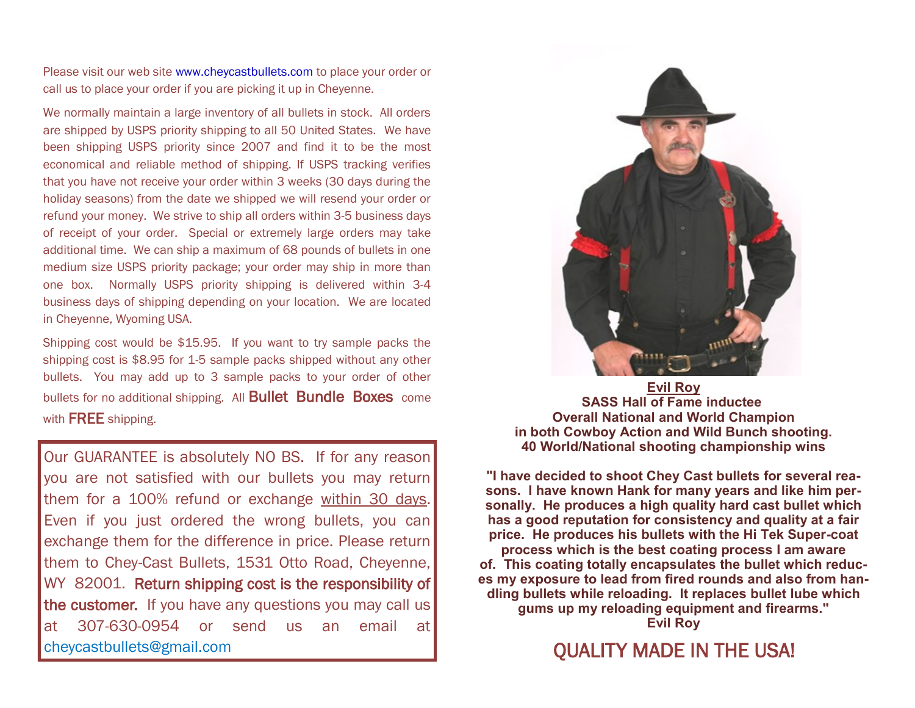Please visit our web site www.cheycastbullets.com to place your order or call us to place your order if you are picking it up in Cheyenne.

We normally maintain a large inventory of all bullets in stock. All orders are shipped by USPS priority shipping to all 50 United States. We have been shipping USPS priority since 2007 and find it to be the most economical and reliable method of shipping. If USPS tracking verifies that you have not receive your order within 3 weeks (30 days during the holiday seasons) from the date we shipped we will resend your order or refund your money. We strive to ship all orders within 3-5 business days of receipt of your order. Special or extremely large orders may take additional time. We can ship a maximum of 68 pounds of bullets in one medium size USPS priority package; your order may ship in more than one box. Normally USPS priority shipping is delivered within 3-4 business days of shipping depending on your location. We are located in Cheyenne, Wyoming USA.

Shipping cost would be \$15.95. If you want to try sample packs the shipping cost is \$8.95 for 1-5 sample packs shipped without any other bullets. You may add up to 3 sample packs to your order of other bullets for no additional shipping. All **Bullet Bundle Boxes** come with **FREE** shipping.

Our GUARANTEE is absolutely NO BS. If for any reason you are not satisfied with our bullets you may return them for a 100% refund or exchange within 30 days. Even if you just ordered the wrong bullets, you can exchange them for the difference in price. Please return them to Chey-Cast Bullets, 1531 Otto Road, Cheyenne, WY 82001. Return shipping cost is the responsibility of the customer. If you have any questions you may call us at 307-630-0954 or send us an email at [cheycastbullets@gmail.com](mailto:cheycastbullets@gmail.com) **COUALITY MADE IN THE USA!** 



**[Evil Roy](https://evilroy.com/) SASS Hall of Fame inductee Overall National and World Champion in both Cowboy Action and Wild Bunch shooting. 40 World/National shooting championship wins**

**"I have decided to shoot Chey Cast bullets for several reasons. I have known Hank for many years and like him personally. He produces a high quality hard cast bullet which has a good reputation for consistency and quality at a fair price. He produces his bullets with the Hi Tek Super-coat process which is the best coating process I am aware of. This coating totally encapsulates the bullet which reduces my exposure to lead from fired rounds and also from handling bullets while reloading. It replaces bullet lube which gums up my reloading equipment and firearms." Evil Roy**